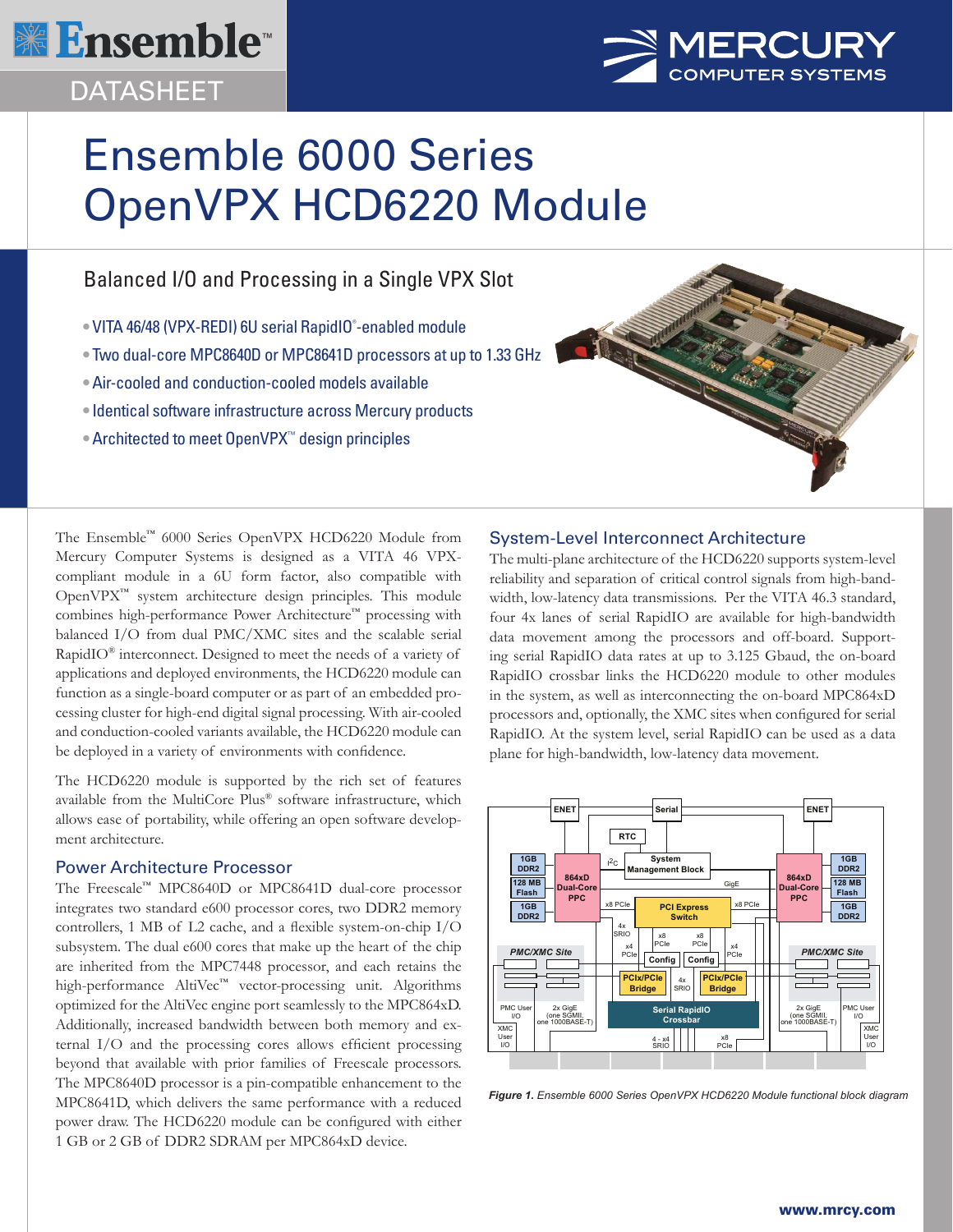

# DATASHEET



# Ensemble 6000 Series OpenVPX HCD6220 Module

# Balanced I/O and Processing in a Single VPX Slot

- VITA 46/48 (VPX-REDI) 6U serial RapidIO® -enabled module
- Two dual-core MPC8640D or MPC8641D processors at up to 1.33 GHz
- Air-cooled and conduction-cooled models available
- Identical software infrastructure across Mercury products
- Architected to meet OpenVPX™ design principles



The Ensemble™ 6000 Series OpenVPX HCD6220 Module from Mercury Computer Systems is designed as a VITA 46 VPXcompliant module in a 6U form factor, also compatible with OpenVPX™ system architecture design principles. This module combines high-performance Power Architecture™ processing with balanced I/O from dual PMC/XMC sites and the scalable serial RapidIO® interconnect. Designed to meet the needs of a variety of applications and deployed environments, the HCD6220 module can function as a single-board computer or as part of an embedded processing cluster for high-end digital signal processing. With air-cooled and conduction-cooled variants available, the HCD6220 module can be deployed in a variety of environments with confidence.

The HCD6220 module is supported by the rich set of features available from the MultiCore Plus® software infrastructure, which allows ease of portability, while offering an open software development architecture.

## Power Architecture Processor

The Freescale™ MPC8640D or MPC8641D dual-core processor integrates two standard e600 processor cores, two DDR2 memory controllers, 1 MB of L2 cache, and a flexible system-on-chip I/O subsystem. The dual e600 cores that make up the heart of the chip are inherited from the MPC7448 processor, and each retains the high-performance AltiVec™ vector-processing unit. Algorithms optimized for the AltiVec engine port seamlessly to the MPC864xD. Additionally, increased bandwidth between both memory and external I/O and the processing cores allows efficient processing beyond that available with prior families of Freescale processors. The MPC8640D processor is a pin-compatible enhancement to the MPC8641D, which delivers the same performance with a reduced power draw. The HCD6220 module can be configured with either 1 GB or 2 GB of DDR2 SDRAM per MPC864xD device.

# System-Level Interconnect Architecture

The multi-plane architecture of the HCD6220 supports system-level reliability and separation of critical control signals from high-bandwidth, low-latency data transmissions. Per the VITA 46.3 standard, four 4x lanes of serial RapidIO are available for high-bandwidth data movement among the processors and off-board. Supporting serial RapidIO data rates at up to 3.125 Gbaud, the on-board RapidIO crossbar links the HCD6220 module to other modules in the system, as well as interconnecting the on-board MPC864xD processors and, optionally, the XMC sites when configured for serial RapidIO. At the system level, serial RapidIO can be used as a data plane for high-bandwidth, low-latency data movement.



*Figure 1. Ensemble 6000 Series OpenVPX HCD6220 Module functional block diagram*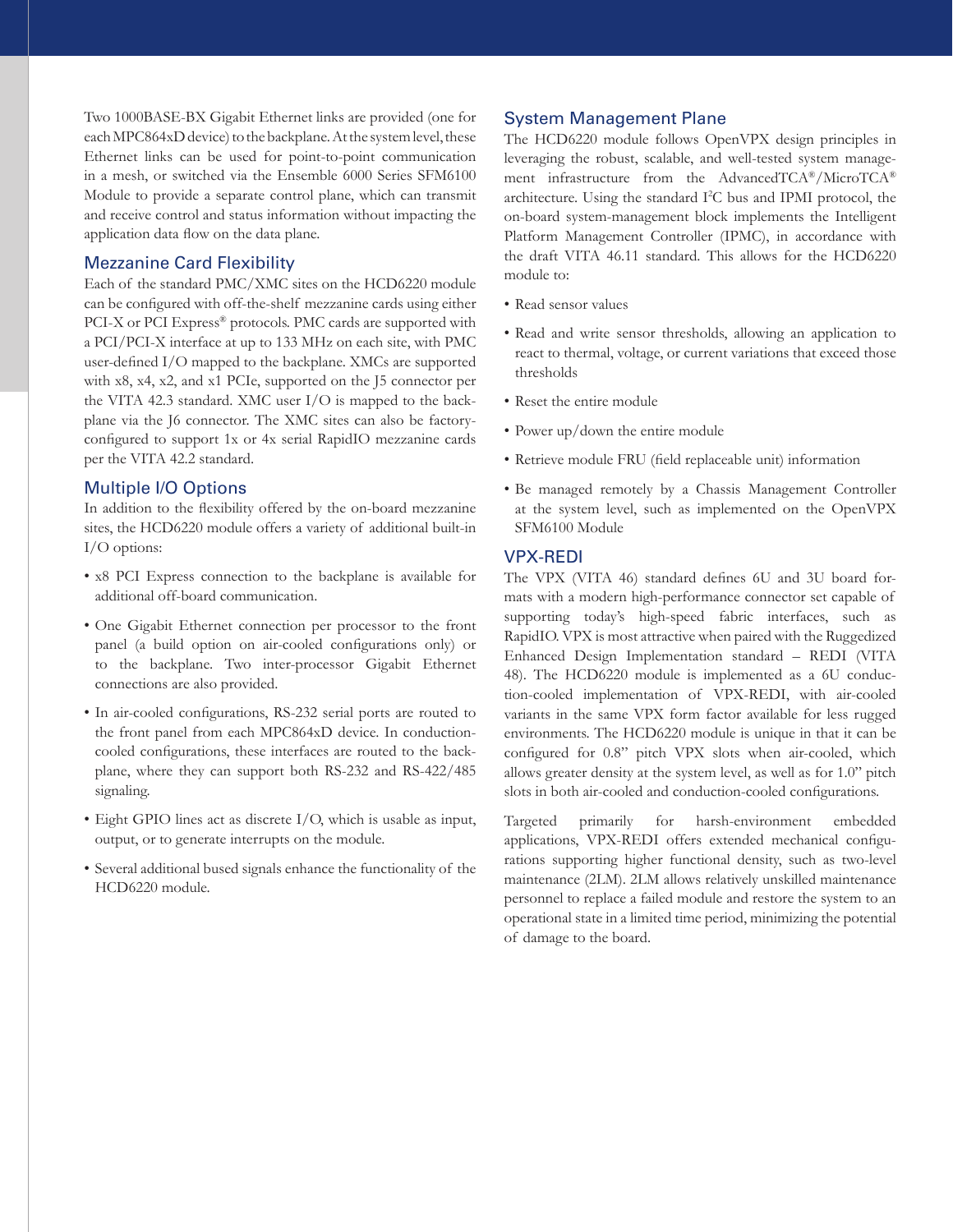Two 1000BASE-BX Gigabit Ethernet links are provided (one for each MPC864xD device) to the backplane. At the system level, these Ethernet links can be used for point-to-point communication in a mesh, or switched via the Ensemble 6000 Series SFM6100 Module to provide a separate control plane, which can transmit and receive control and status information without impacting the application data flow on the data plane.

#### Mezzanine Card Flexibility

Each of the standard PMC/XMC sites on the HCD6220 module can be configured with off-the-shelf mezzanine cards using either PCI-X or PCI Express® protocols. PMC cards are supported with a PCI/PCI-X interface at up to 133 MHz on each site, with PMC user-defined I/O mapped to the backplane. XMCs are supported with x8, x4, x2, and x1 PCIe, supported on the 15 connector per the VITA 42.3 standard. XMC user I/O is mapped to the backplane via the J6 connector. The XMC sites can also be factoryconfigured to support 1x or 4x serial RapidIO mezzanine cards per the VITA 42.2 standard.

#### Multiple I/O Options

In addition to the flexibility offered by the on-board mezzanine sites, the HCD6220 module offers a variety of additional built-in I/O options:

- x8 PCI Express connection to the backplane is available for additional off-board communication.
- One Gigabit Ethernet connection per processor to the front panel (a build option on air-cooled configurations only) or to the backplane. Two inter-processor Gigabit Ethernet connections are also provided.
- In air-cooled configurations, RS-232 serial ports are routed to the front panel from each MPC864xD device. In conductioncooled configurations, these interfaces are routed to the backplane, where they can support both RS-232 and RS-422/485 signaling.
- Eight GPIO lines act as discrete I/O, which is usable as input, output, or to generate interrupts on the module.
- Several additional bused signals enhance the functionality of the HCD6220 module.

#### System Management Plane

The HCD6220 module follows OpenVPX design principles in leveraging the robust, scalable, and well-tested system management infrastructure from the AdvancedTCA®/MicroTCA® architecture. Using the standard I2 C bus and IPMI protocol, the on-board system-management block implements the Intelligent Platform Management Controller (IPMC), in accordance with the draft VITA 46.11 standard. This allows for the HCD6220 module to:

- Read sensor values
- Read and write sensor thresholds, allowing an application to react to thermal, voltage, or current variations that exceed those thresholds
- Reset the entire module
- Power up/down the entire module
- Retrieve module FRU (field replaceable unit) information
- Be managed remotely by a Chassis Management Controller at the system level, such as implemented on the OpenVPX SFM6100 Module

#### VPX-REDI

The VPX (VITA 46) standard defines 6U and 3U board formats with a modern high-performance connector set capable of supporting today's high-speed fabric interfaces, such as RapidIO. VPX is most attractive when paired with the Ruggedized Enhanced Design Implementation standard – REDI (VITA 48). The HCD6220 module is implemented as a 6U conduction-cooled implementation of VPX-REDI, with air-cooled variants in the same VPX form factor available for less rugged environments. The HCD6220 module is unique in that it can be configured for 0.8" pitch VPX slots when air-cooled, which allows greater density at the system level, as well as for 1.0" pitch slots in both air-cooled and conduction-cooled configurations.

Targeted primarily for harsh-environment embedded applications, VPX-REDI offers extended mechanical configurations supporting higher functional density, such as two-level maintenance (2LM). 2LM allows relatively unskilled maintenance personnel to replace a failed module and restore the system to an operational state in a limited time period, minimizing the potential of damage to the board.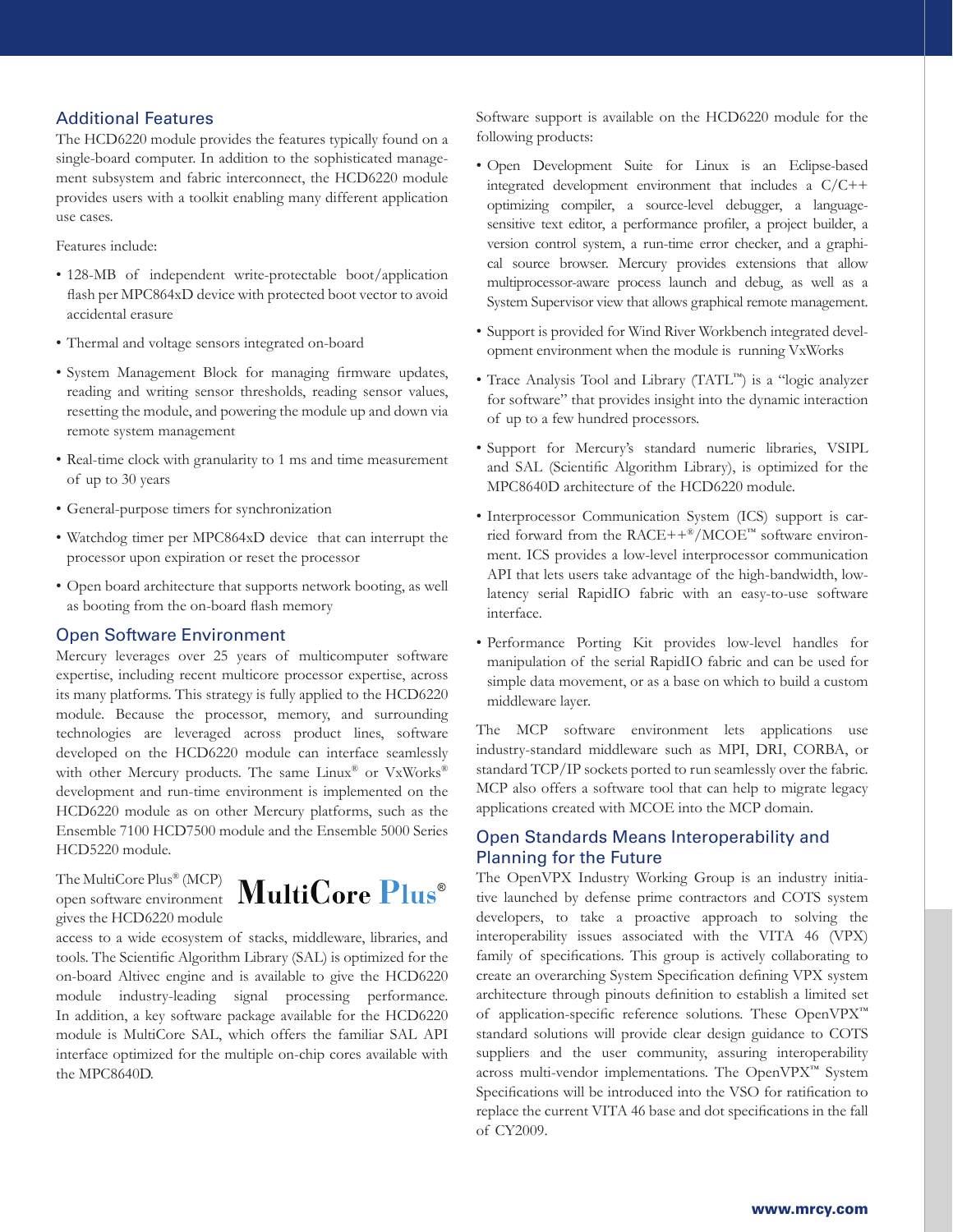### Additional Features

The HCD6220 module provides the features typically found on a single-board computer. In addition to the sophisticated management subsystem and fabric interconnect, the HCD6220 module provides users with a toolkit enabling many different application use cases.

Features include:

- 128-MB of independent write-protectable boot/application flash per MPC864xD device with protected boot vector to avoid accidental erasure
- Thermal and voltage sensors integrated on-board
- System Management Block for managing firmware updates, reading and writing sensor thresholds, reading sensor values, resetting the module, and powering the module up and down via remote system management
- Real-time clock with granularity to 1 ms and time measurement of up to 30 years
- General-purpose timers for synchronization
- Watchdog timer per MPC864xD device that can interrupt the processor upon expiration or reset the processor
- Open board architecture that supports network booting, as well as booting from the on-board flash memory

#### Open Software Environment

Mercury leverages over 25 years of multicomputer software expertise, including recent multicore processor expertise, across its many platforms. This strategy is fully applied to the HCD6220 module. Because the processor, memory, and surrounding technologies are leveraged across product lines, software developed on the HCD6220 module can interface seamlessly with other Mercury products. The same Linux® or VxWorks® development and run-time environment is implemented on the HCD6220 module as on other Mercury platforms, such as the Ensemble 7100 HCD7500 module and the Ensemble 5000 Series HCD5220 module.

The MultiCore Plus® (MCP) gives the HCD6220 module



access to a wide ecosystem of stacks, middleware, libraries, and tools. The Scientific Algorithm Library (SAL) is optimized for the on-board Altivec engine and is available to give the HCD6220 module industry-leading signal processing performance. In addition, a key software package available for the HCD6220 module is MultiCore SAL, which offers the familiar SAL API interface optimized for the multiple on-chip cores available with the MPC8640D.

Software support is available on the HCD6220 module for the following products:

- Open Development Suite for Linux is an Eclipse-based integrated development environment that includes a C/C++ optimizing compiler, a source-level debugger, a languagesensitive text editor, a performance profiler, a project builder, a version control system, a run-time error checker, and a graphical source browser. Mercury provides extensions that allow multiprocessor-aware process launch and debug, as well as a System Supervisor view that allows graphical remote management.
- Support is provided for Wind River Workbench integrated development environment when the module is running VxWorks
- Trace Analysis Tool and Library (TATL™) is a "logic analyzer for software" that provides insight into the dynamic interaction of up to a few hundred processors.
- Support for Mercury's standard numeric libraries, VSIPL and SAL (Scientific Algorithm Library), is optimized for the MPC8640D architecture of the HCD6220 module.
- Interprocessor Communication System (ICS) support is carried forward from the RACE++®/MCOE™ software environment. ICS provides a low-level interprocessor communication API that lets users take advantage of the high-bandwidth, lowlatency serial RapidIO fabric with an easy-to-use software interface.
- Performance Porting Kit provides low-level handles for manipulation of the serial RapidIO fabric and can be used for simple data movement, or as a base on which to build a custom middleware layer.

The MCP software environment lets applications use industry-standard middleware such as MPI, DRI, CORBA, or standard TCP/IP sockets ported to run seamlessly over the fabric. MCP also offers a software tool that can help to migrate legacy applications created with MCOE into the MCP domain.

# Open Standards Means Interoperability and Planning for the Future

The OpenVPX Industry Working Group is an industry initiative launched by defense prime contractors and COTS system developers, to take a proactive approach to solving the interoperability issues associated with the VITA 46 (VPX) family of specifications. This group is actively collaborating to create an overarching System Specification defining VPX system architecture through pinouts definition to establish a limited set of application-specific reference solutions. These OpenVPX™ standard solutions will provide clear design guidance to COTS suppliers and the user community, assuring interoperability across multi-vendor implementations. The OpenVPX™ System Specifications will be introduced into the VSO for ratification to replace the current VITA 46 base and dot specifications in the fall of CY2009.